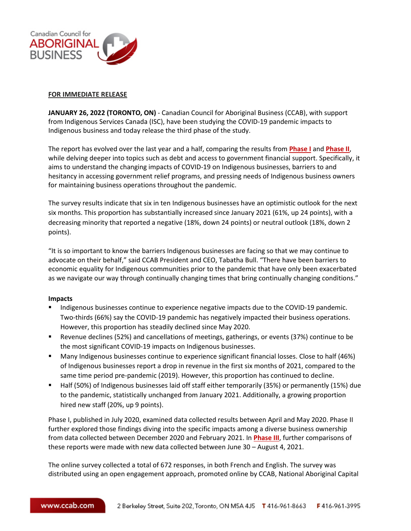

## **FOR IMMEDIATE RELEASE**

**JANUARY 26, 2022 (TORONTO, ON)** - Canadian Council for Aboriginal Business (CCAB), with support from Indigenous Services Canada (ISC), have been studying the COVID-19 pandemic impacts to Indigenous business and today release the third phase of the study.

The report has evolved over the last year and a half, comparing the results from **[Phase I](https://www.ccab.com/wp-content/uploads/2020/07/EN-COVID-19-Indigenous-Business-Survey-FINAL-DRAFT-July-29.pdf)** and **[Phase II](https://www.ccab.com/research/publications/private-business/covid-19-indigenous-business-survey-phase-ii/)**, while delving deeper into topics such as debt and access to government financial support. Specifically, it aims to understand the changing impacts of COVID-19 on Indigenous businesses, barriers to and hesitancy in accessing government relief programs, and pressing needs of Indigenous business owners for maintaining business operations throughout the pandemic.

The survey results indicate that six in ten Indigenous businesses have an optimistic outlook for the next six months. This proportion has substantially increased since January 2021 (61%, up 24 points), with a decreasing minority that reported a negative (18%, down 24 points) or neutral outlook (18%, down 2 points).

"It is so important to know the barriers Indigenous businesses are facing so that we may continue to advocate on their behalf," said CCAB President and CEO, Tabatha Bull. "There have been barriers to economic equality for Indigenous communities prior to the pandemic that have only been exacerbated as we navigate our way through continually changing times that bring continually changing conditions."

## **Impacts**

- Indigenous businesses continue to experience negative impacts due to the COVID-19 pandemic. Two-thirds (66%) say the COVID-19 pandemic has negatively impacted their business operations. However, this proportion has steadily declined since May 2020.
- Revenue declines (52%) and cancellations of meetings, gatherings, or events (37%) continue to be the most significant COVID-19 impacts on Indigenous businesses.
- Many Indigenous businesses continue to experience significant financial losses. Close to half (46%) of Indigenous businesses report a drop in revenue in the first six months of 2021, compared to the same time period pre-pandemic (2019). However, this proportion has continued to decline.
- Half (50%) of Indigenous businesses laid off staff either temporarily (35%) or permanently (15%) due to the pandemic, statistically unchanged from January 2021. Additionally, a growing proportion hired new staff (20%, up 9 points).

Phase I, published in July 2020, examined data collected results between April and May 2020. Phase II further explored those findings diving into the specific impacts among a diverse business ownership from data collected between December 2020 and February 2021. In **[Phase III](https://www.ccab.com/wp-content/uploads/2022/01/Covid-Phase-3-report-EN-r1-FINAL.pdf)**, further comparisons of these reports were made with new data collected between June 30 – August 4, 2021.

The online survey collected a total of 672 responses, in both French and English. The survey was distributed using an open engagement approach, promoted online by CCAB, National Aboriginal Capital